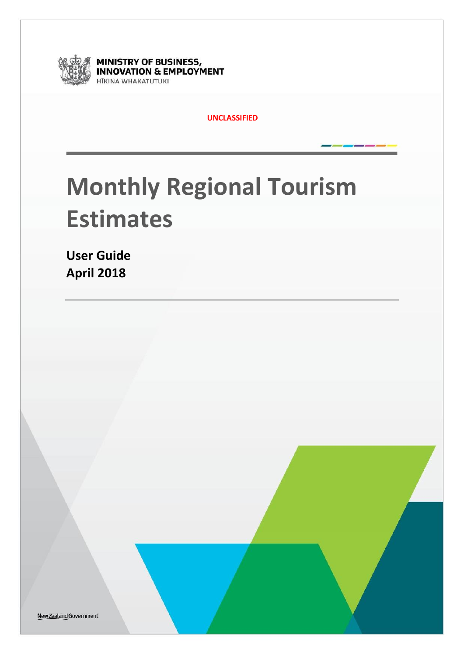

**MINISTRY OF BUSINESS,<br>INNOVATION & EMPLOYMENT** HĪKINA WHAKATUTUKI

**UNCLASSIFIED**

# **Monthly Regional Tourism Estimates**

**User Guide April 2018**

New Zealand Government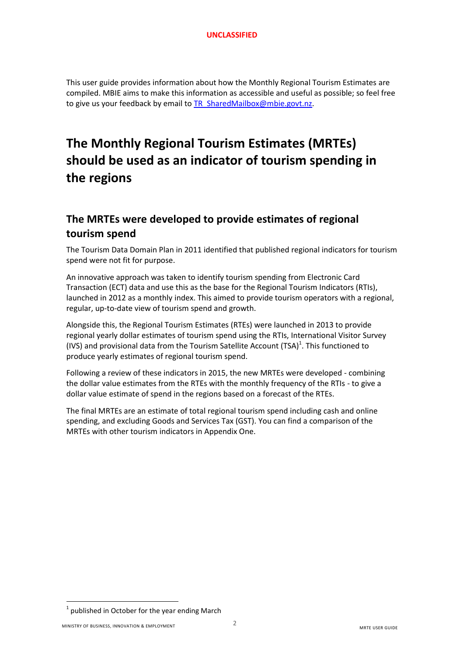This user guide provides information about how the Monthly Regional Tourism Estimates are compiled. MBIE aims to make this information as accessible and useful as possible; so feel free to give us your feedback by email t[o TR\\_SharedMailbox@mbie.govt.nz.](mailto:TR_SharedMailbox@mbie.govt.nz)

# **The Monthly Regional Tourism Estimates (MRTEs) should be used as an indicator of tourism spending in the regions**

# **The MRTEs were developed to provide estimates of regional tourism spend**

The Tourism Data Domain Plan in 2011 identified that published regional indicators for tourism spend were not fit for purpose.

An innovative approach was taken to identify tourism spending from Electronic Card Transaction (ECT) data and use this as the base for the Regional Tourism Indicators (RTIs), launched in 2012 as a monthly index. This aimed to provide tourism operators with a regional, regular, up-to-date view of tourism spend and growth.

Alongside this, the Regional Tourism Estimates (RTEs) were launched in 2013 to provide regional yearly dollar estimates of tourism spend using the RTIs, International Visitor Survey (IVS) and provisional data from the Tourism Satellite Account (TSA) $^1$ . This functioned to produce yearly estimates of regional tourism spend.

Following a review of these indicators in 2015, the new MRTEs were developed - combining the dollar value estimates from the RTEs with the monthly frequency of the RTIs - to give a dollar value estimate of spend in the regions based on a forecast of the RTEs.

The final MRTEs are an estimate of total regional tourism spend including cash and online spending, and excluding Goods and Services Tax (GST). You can find a comparison of the MRTEs with other tourism indicators in Appendix One.

**.** 

 $1$  published in October for the year ending March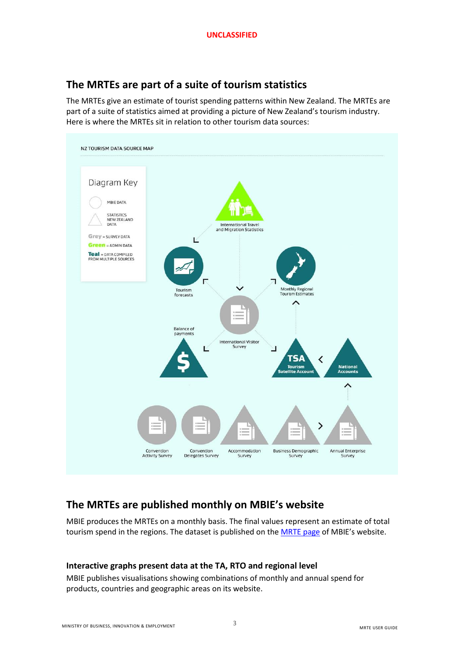### **The MRTEs are part of a suite of tourism statistics**

The MRTEs give an estimate of tourist spending patterns within New Zealand. The MRTEs are part of a suite of statistics aimed at providing a picture of New Zealand's tourism industry. Here is where the MRTEs sit in relation to other tourism data sources:



### **The MRTEs are published monthly on MBIE's website**

MBIE produces the MRTEs on a monthly basis. The final values represent an estimate of total tourism spend in the regions. The dataset is published on the [MRTE page](http://www.mbie.govt.nz/info-services/sectors-industries/tourism/tourism-research-data/monthly-regional-tourism-estimates) of MBIE's website.

#### **Interactive graphs present data at the TA, RTO and regional level**

MBIE publishes visualisations showing combinations of monthly and annual spend for products, countries and geographic areas on its website.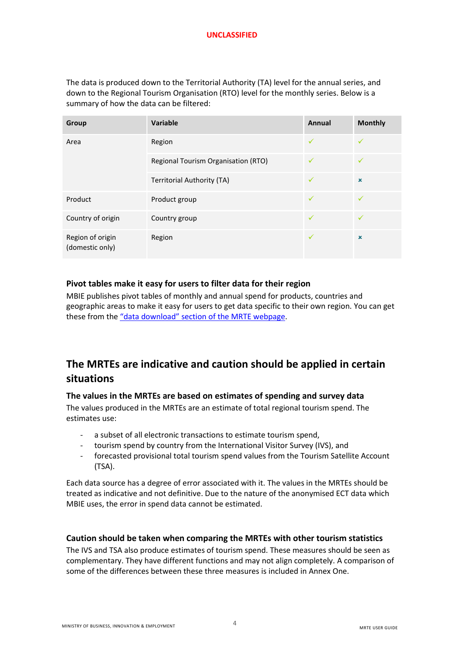The data is produced down to the Territorial Authority (TA) level for the annual series, and down to the Regional Tourism Organisation (RTO) level for the monthly series. Below is a summary of how the data can be filtered:

| Group                               | Variable                            | Annual       | <b>Monthly</b>            |
|-------------------------------------|-------------------------------------|--------------|---------------------------|
| Area                                | Region                              | ✓            |                           |
|                                     | Regional Tourism Organisation (RTO) | ✓            | $\checkmark$              |
|                                     | <b>Territorial Authority (TA)</b>   | ✓            | $\boldsymbol{\mathsf{x}}$ |
| Product                             | Product group                       | ✓            |                           |
| Country of origin                   | Country group                       | ✓            |                           |
| Region of origin<br>(domestic only) | Region                              | $\checkmark$ | $\pmb{\times}$            |

#### **Pivot tables make it easy for users to filter data for their region**

MBIE publishes pivot tables of monthly and annual spend for products, countries and geographic areas to make it easy for users to get data specific to their own region. You can get these from the ["data download" section](http://www.mbie.govt.nz/info-services/sectors-industries/tourism/tourism-research-data/monthly-regional-tourism-estimates/data-download) of the MRTE webpage.

### **The MRTEs are indicative and caution should be applied in certain situations**

#### **The values in the MRTEs are based on estimates of spending and survey data**

The values produced in the MRTEs are an estimate of total regional tourism spend. The estimates use:

- a subset of all electronic transactions to estimate tourism spend,
- tourism spend by country from the International Visitor Survey (IVS), and
- forecasted provisional total tourism spend values from the Tourism Satellite Account (TSA).

Each data source has a degree of error associated with it. The values in the MRTEs should be treated as indicative and not definitive. Due to the nature of the anonymised ECT data which MBIE uses, the error in spend data cannot be estimated.

#### **Caution should be taken when comparing the MRTEs with other tourism statistics**

The IVS and TSA also produce estimates of tourism spend. These measures should be seen as complementary. They have different functions and may not align completely. A comparison of some of the differences between these three measures is included in Annex One.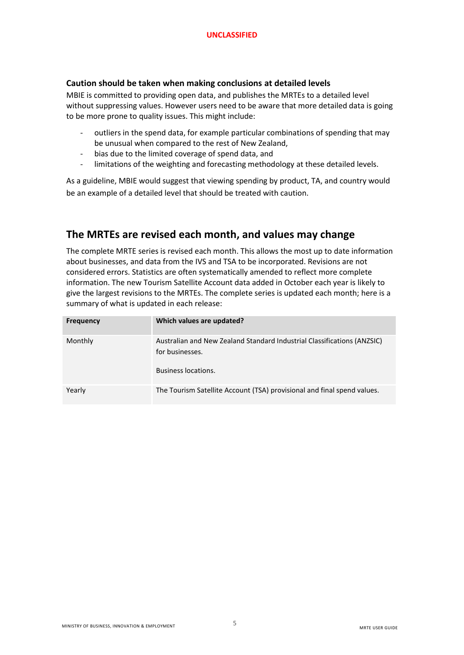#### **Caution should be taken when making conclusions at detailed levels**

MBIE is committed to providing open data, and publishes the MRTEs to a detailed level without suppressing values. However users need to be aware that more detailed data is going to be more prone to quality issues. This might include:

- outliers in the spend data, for example particular combinations of spending that may be unusual when compared to the rest of New Zealand,
- bias due to the limited coverage of spend data, and
- limitations of the weighting and forecasting methodology at these detailed levels.

As a guideline, MBIE would suggest that viewing spending by product, TA, and country would be an example of a detailed level that should be treated with caution.

### **The MRTEs are revised each month, and values may change**

The complete MRTE series is revised each month. This allows the most up to date information about businesses, and data from the IVS and TSA to be incorporated. Revisions are not considered errors. Statistics are often systematically amended to reflect more complete information. The new Tourism Satellite Account data added in October each year is likely to give the largest revisions to the MRTEs. The complete series is updated each month; here is a summary of what is updated in each release:

| <b>Frequency</b> | Which values are updated?                                                                                         |
|------------------|-------------------------------------------------------------------------------------------------------------------|
| Monthly          | Australian and New Zealand Standard Industrial Classifications (ANZSIC)<br>for businesses.<br>Business locations. |
| Yearly           | The Tourism Satellite Account (TSA) provisional and final spend values.                                           |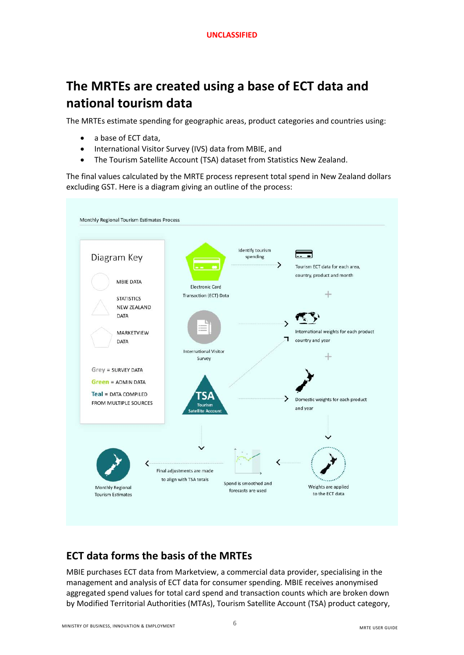# **The MRTEs are created using a base of ECT data and national tourism data**

The MRTEs estimate spending for geographic areas, product categories and countries using:

- a base of ECT data,
- International Visitor Survey (IVS) data from MBIE, and
- The Tourism Satellite Account (TSA) dataset from Statistics New Zealand.

The final values calculated by the MRTE process represent total spend in New Zealand dollars excluding GST. Here is a diagram giving an outline of the process:



# **ECT data forms the basis of the MRTEs**

MBIE purchases ECT data from Marketview, a commercial data provider, specialising in the management and analysis of ECT data for consumer spending. MBIE receives anonymised aggregated spend values for total card spend and transaction counts which are broken down by Modified Territorial Authorities (MTAs), Tourism Satellite Account (TSA) product category,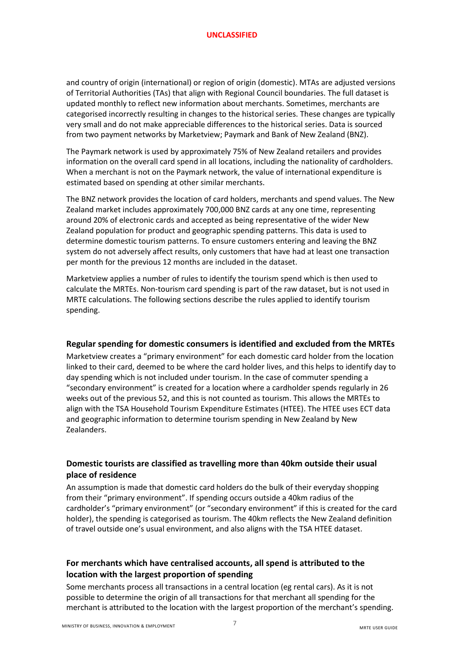and country of origin (international) or region of origin (domestic). MTAs are adjusted versions of Territorial Authorities (TAs) that align with Regional Council boundaries. The full dataset is updated monthly to reflect new information about merchants. Sometimes, merchants are categorised incorrectly resulting in changes to the historical series. These changes are typically very small and do not make appreciable differences to the historical series. Data is sourced from two payment networks by Marketview; Paymark and Bank of New Zealand (BNZ).

The Paymark network is used by approximately 75% of New Zealand retailers and provides information on the overall card spend in all locations, including the nationality of cardholders. When a merchant is not on the Paymark network, the value of international expenditure is estimated based on spending at other similar merchants.

The BNZ network provides the location of card holders, merchants and spend values. The New Zealand market includes approximately 700,000 BNZ cards at any one time, representing around 20% of electronic cards and accepted as being representative of the wider New Zealand population for product and geographic spending patterns. This data is used to determine domestic tourism patterns. To ensure customers entering and leaving the BNZ system do not adversely affect results, only customers that have had at least one transaction per month for the previous 12 months are included in the dataset.

Marketview applies a number of rules to identify the tourism spend which is then used to calculate the MRTEs. Non-tourism card spending is part of the raw dataset, but is not used in MRTE calculations. The following sections describe the rules applied to identify tourism spending.

#### **Regular spending for domestic consumers is identified and excluded from the MRTEs**

Marketview creates a "primary environment" for each domestic card holder from the location linked to their card, deemed to be where the card holder lives, and this helps to identify day to day spending which is not included under tourism. In the case of commuter spending a "secondary environment" is created for a location where a cardholder spends regularly in 26 weeks out of the previous 52, and this is not counted as tourism. This allows the MRTEs to align with the TSA Household Tourism Expenditure Estimates (HTEE). The HTEE uses ECT data and geographic information to determine tourism spending in New Zealand by New Zealanders.

#### **Domestic tourists are classified as travelling more than 40km outside their usual place of residence**

An assumption is made that domestic card holders do the bulk of their everyday shopping from their "primary environment". If spending occurs outside a 40km radius of the cardholder's "primary environment" (or "secondary environment" if this is created for the card holder), the spending is categorised as tourism. The 40km reflects the New Zealand definition of travel outside one's usual environment, and also aligns with the TSA HTEE dataset.

#### **For merchants which have centralised accounts, all spend is attributed to the location with the largest proportion of spending**

Some merchants process all transactions in a central location (eg rental cars). As it is not possible to determine the origin of all transactions for that merchant all spending for the merchant is attributed to the location with the largest proportion of the merchant's spending.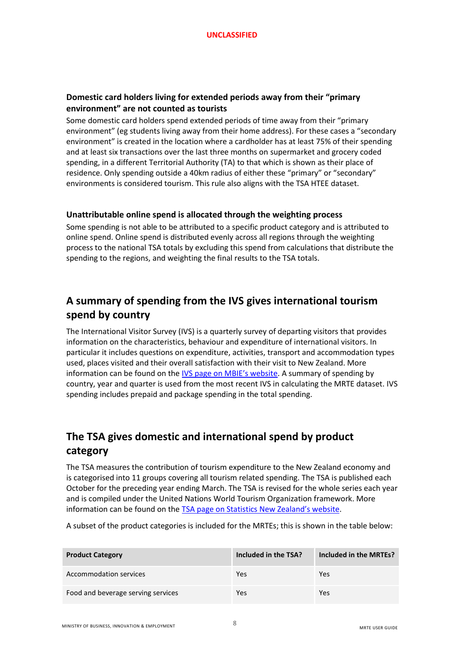#### **Domestic card holders living for extended periods away from their "primary environment" are not counted as tourists**

Some domestic card holders spend extended periods of time away from their "primary environment" (eg students living away from their home address). For these cases a "secondary environment" is created in the location where a cardholder has at least 75% of their spending and at least six transactions over the last three months on supermarket and grocery coded spending, in a different Territorial Authority (TA) to that which is shown as their place of residence. Only spending outside a 40km radius of either these "primary" or "secondary" environments is considered tourism. This rule also aligns with the TSA HTEE dataset.

#### **Unattributable online spend is allocated through the weighting process**

Some spending is not able to be attributed to a specific product category and is attributed to online spend. Online spend is distributed evenly across all regions through the weighting process to the national TSA totals by excluding this spend from calculations that distribute the spending to the regions, and weighting the final results to the TSA totals.

# **A summary of spending from the IVS gives international tourism spend by country**

The International Visitor Survey (IVS) is a quarterly survey of departing visitors that provides information on the characteristics, behaviour and expenditure of international visitors. In particular it includes questions on expenditure, activities, transport and accommodation types used, places visited and their overall satisfaction with their visit to New Zealand. More information can be found on the [IVS page on MBIE's website](http://www.mbie.govt.nz/info-services/sectors-industries/tourism/tourism-research-data/ivs). A summary of spending by country, year and quarter is used from the most recent IVS in calculating the MRTE dataset. IVS spending includes prepaid and package spending in the total spending.

# **The TSA gives domestic and international spend by product category**

The TSA measures the contribution of tourism expenditure to the New Zealand economy and is categorised into 11 groups covering all tourism related spending. The TSA is published each October for the preceding year ending March. The TSA is revised for the whole series each year and is compiled under the United Nations World Tourism Organization framework. More information can be found on the [TSA page on Statistics New Zealand's website](http://www.stats.govt.nz/browse_for_stats/industry_sectors/Tourism/tourism-satellite-account-info-releases.aspx).

A subset of the product categories is included for the MRTEs; this is shown in the table below:

| <b>Product Category</b>            | Included in the TSA? | Included in the MRTEs? |
|------------------------------------|----------------------|------------------------|
| Accommodation services             | Yes                  | Yes                    |
| Food and beverage serving services | Yes                  | Yes                    |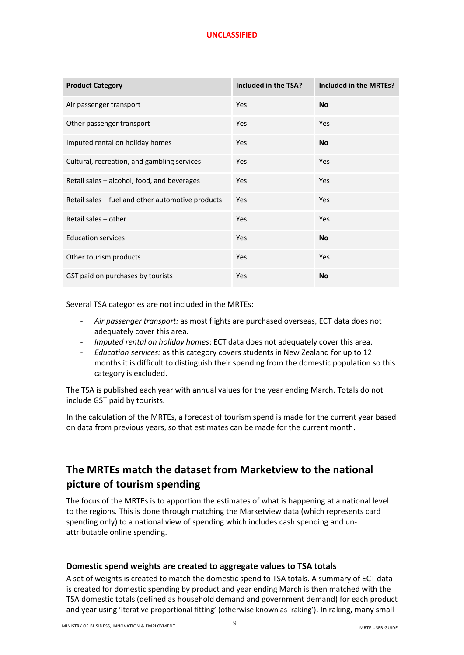| <b>Product Category</b>                           | Included in the TSA? | Included in the MRTEs? |
|---------------------------------------------------|----------------------|------------------------|
| Air passenger transport                           | Yes                  | <b>No</b>              |
| Other passenger transport                         | Yes                  | Yes                    |
| Imputed rental on holiday homes                   | Yes                  | <b>No</b>              |
| Cultural, recreation, and gambling services       | Yes                  | Yes                    |
| Retail sales – alcohol, food, and beverages       | Yes                  | Yes                    |
| Retail sales - fuel and other automotive products | Yes                  | Yes                    |
| Retail sales - other                              | Yes                  | Yes                    |
| <b>Education services</b>                         | Yes                  | <b>No</b>              |
| Other tourism products                            | Yes                  | Yes                    |
| GST paid on purchases by tourists                 | Yes                  | No                     |

Several TSA categories are not included in the MRTEs:

- *Air passenger transport:* as most flights are purchased overseas, ECT data does not adequately cover this area.
- *Imputed rental on holiday homes*: ECT data does not adequately cover this area.
- *Education services:* as this category covers students in New Zealand for up to 12 months it is difficult to distinguish their spending from the domestic population so this category is excluded.

The TSA is published each year with annual values for the year ending March. Totals do not include GST paid by tourists.

In the calculation of the MRTEs, a forecast of tourism spend is made for the current year based on data from previous years, so that estimates can be made for the current month.

### **The MRTEs match the dataset from Marketview to the national picture of tourism spending**

The focus of the MRTEs is to apportion the estimates of what is happening at a national level to the regions. This is done through matching the Marketview data (which represents card spending only) to a national view of spending which includes cash spending and unattributable online spending.

#### **Domestic spend weights are created to aggregate values to TSA totals**

A set of weights is created to match the domestic spend to TSA totals. A summary of ECT data is created for domestic spending by product and year ending March is then matched with the TSA domestic totals (defined as household demand and government demand) for each product and year using 'iterative proportional fitting' (otherwise known as 'raking'). In raking, many small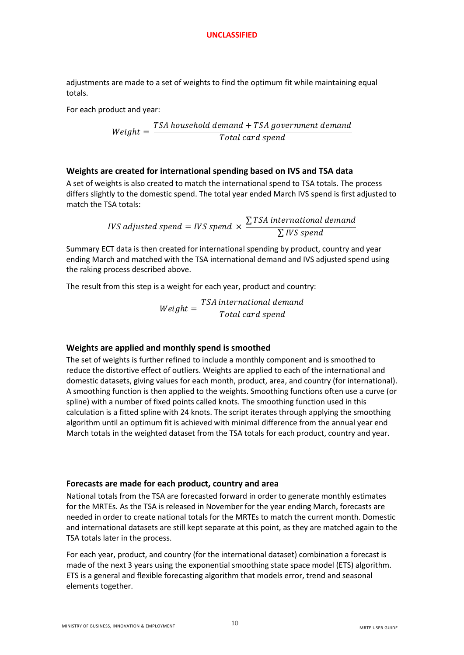adjustments are made to a set of weights to find the optimum fit while maintaining equal totals.

For each product and year:

$$
Weight = \frac{TSA\,household\, demand + TSA\, government\, demand}{Total\, card\, spend}
$$

#### **Weights are created for international spending based on IVS and TSA data**

A set of weights is also created to match the international spend to TSA totals. The process differs slightly to the domestic spend. The total year ended March IVS spend is first adjusted to match the TSA totals:

> IVS adjusted spend = IVS spend  $\times$ ∑TSA international demand ∑IVS spend

Summary ECT data is then created for international spending by product, country and year ending March and matched with the TSA international demand and IVS adjusted spend using the raking process described above.

The result from this step is a weight for each year, product and country:

 $Weight = -$ TSA international demand Total card spend

#### **Weights are applied and monthly spend is smoothed**

The set of weights is further refined to include a monthly component and is smoothed to reduce the distortive effect of outliers. Weights are applied to each of the international and domestic datasets, giving values for each month, product, area, and country (for international). A smoothing function is then applied to the weights. Smoothing functions often use a curve (or spline) with a number of fixed points called knots. The smoothing function used in this calculation is a fitted spline with 24 knots. The script iterates through applying the smoothing algorithm until an optimum fit is achieved with minimal difference from the annual year end March totals in the weighted dataset from the TSA totals for each product, country and year.

#### **Forecasts are made for each product, country and area**

National totals from the TSA are forecasted forward in order to generate monthly estimates for the MRTEs. As the TSA is released in November for the year ending March, forecasts are needed in order to create national totals for the MRTEs to match the current month. Domestic and international datasets are still kept separate at this point, as they are matched again to the TSA totals later in the process.

For each year, product, and country (for the international dataset) combination a forecast is made of the next 3 years using the exponential smoothing state space model (ETS) algorithm. ETS is a general and flexible forecasting algorithm that models error, trend and seasonal elements together.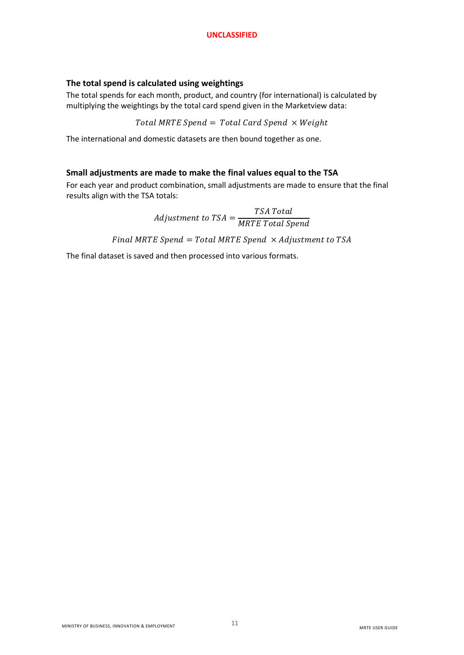#### **The total spend is calculated using weightings**

The total spends for each month, product, and country (for international) is calculated by multiplying the weightings by the total card spend given in the Marketview data:

Total MRTE Spend = Total Card Spend  $\times$  Weight

The international and domestic datasets are then bound together as one.

#### **Small adjustments are made to make the final values equal to the TSA**

For each year and product combination, small adjustments are made to ensure that the final results align with the TSA totals:

> Adjustment to  $TSA =$ TSA Total **MRTE Total Spend**

Final MRTE Spend = Total MRTE Spend  $\times$  Adjustment to TSA

The final dataset is saved and then processed into various formats.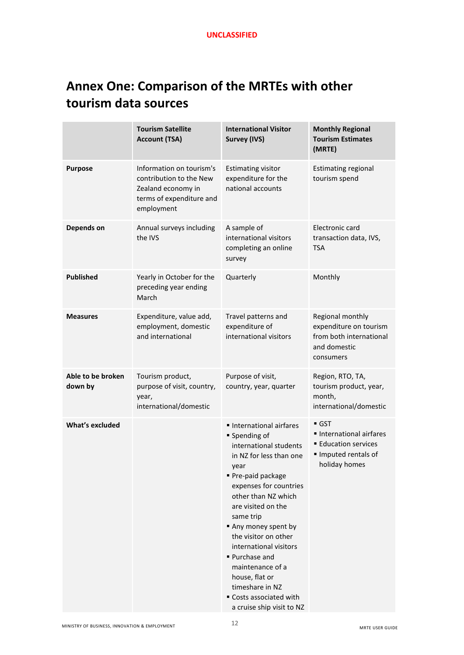# **Annex One: Comparison of the MRTEs with other tourism data sources**

|                              | <b>Tourism Satellite</b><br><b>Account (TSA)</b>                                                                    | <b>International Visitor</b><br><b>Survey (IVS)</b>                                                                                                                                                                                                                                                                                                                                                                     | <b>Monthly Regional</b><br><b>Tourism Estimates</b><br>(MRTE)                                                    |
|------------------------------|---------------------------------------------------------------------------------------------------------------------|-------------------------------------------------------------------------------------------------------------------------------------------------------------------------------------------------------------------------------------------------------------------------------------------------------------------------------------------------------------------------------------------------------------------------|------------------------------------------------------------------------------------------------------------------|
| <b>Purpose</b>               | Information on tourism's<br>contribution to the New<br>Zealand economy in<br>terms of expenditure and<br>employment | <b>Estimating visitor</b><br>expenditure for the<br>national accounts                                                                                                                                                                                                                                                                                                                                                   | <b>Estimating regional</b><br>tourism spend                                                                      |
| Depends on                   | Annual surveys including<br>the IVS                                                                                 | A sample of<br>international visitors<br>completing an online<br>survey                                                                                                                                                                                                                                                                                                                                                 | Electronic card<br>transaction data, IVS,<br>TSA                                                                 |
| <b>Published</b>             | Yearly in October for the<br>preceding year ending<br>March                                                         | Quarterly                                                                                                                                                                                                                                                                                                                                                                                                               | Monthly                                                                                                          |
| <b>Measures</b>              | Expenditure, value add,<br>employment, domestic<br>and international                                                | Travel patterns and<br>expenditure of<br>international visitors                                                                                                                                                                                                                                                                                                                                                         | Regional monthly<br>expenditure on tourism<br>from both international<br>and domestic<br>consumers               |
| Able to be broken<br>down by | Tourism product,<br>purpose of visit, country,<br>year,<br>international/domestic                                   | Purpose of visit,<br>country, year, quarter                                                                                                                                                                                                                                                                                                                                                                             | Region, RTO, TA,<br>tourism product, year,<br>month,<br>international/domestic                                   |
| What's excluded              |                                                                                                                     | International airfares<br>■ Spending of<br>international students<br>in NZ for less than one<br>year<br>Pre-paid package<br>expenses for countries<br>other than NZ which<br>are visited on the<br>same trip<br>Any money spent by<br>the visitor on other<br>international visitors<br>■ Purchase and<br>maintenance of a<br>house, flat or<br>timeshare in NZ<br>■ Costs associated with<br>a cruise ship visit to NZ | $\blacksquare$ GST<br>International airfares<br><b>Education services</b><br>Imputed rentals of<br>holiday homes |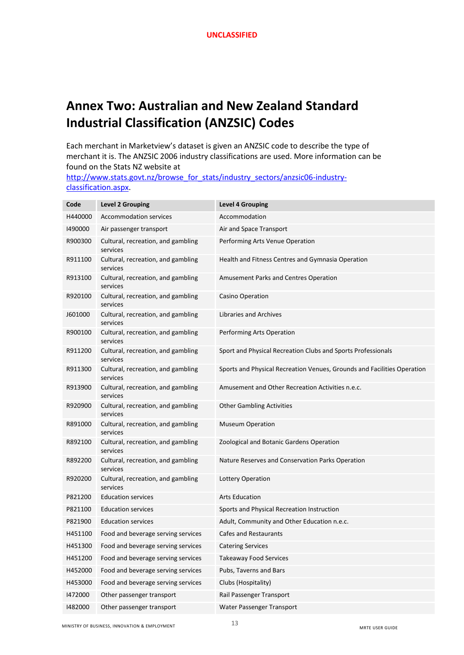# **Annex Two: Australian and New Zealand Standard Industrial Classification (ANZSIC) Codes**

Each merchant in Marketview's dataset is given an ANZSIC code to describe the type of merchant it is. The ANZSIC 2006 industry classifications are used. More information can be found on the Stats NZ website at

[http://www.stats.govt.nz/browse\\_for\\_stats/industry\\_sectors/anzsic06-industry](http://www.stats.govt.nz/browse_for_stats/industry_sectors/anzsic06-industry-classification.aspx)[classification.aspx.](http://www.stats.govt.nz/browse_for_stats/industry_sectors/anzsic06-industry-classification.aspx)

| Code    | <b>Level 2 Grouping</b>                        | <b>Level 4 Grouping</b>                                                 |
|---------|------------------------------------------------|-------------------------------------------------------------------------|
| H440000 | Accommodation services                         | Accommodation                                                           |
| 1490000 | Air passenger transport                        | Air and Space Transport                                                 |
| R900300 | Cultural, recreation, and gambling<br>services | Performing Arts Venue Operation                                         |
| R911100 | Cultural, recreation, and gambling<br>services | Health and Fitness Centres and Gymnasia Operation                       |
| R913100 | Cultural, recreation, and gambling<br>services | Amusement Parks and Centres Operation                                   |
| R920100 | Cultural, recreation, and gambling<br>services | Casino Operation                                                        |
| J601000 | Cultural, recreation, and gambling<br>services | Libraries and Archives                                                  |
| R900100 | Cultural, recreation, and gambling<br>services | Performing Arts Operation                                               |
| R911200 | Cultural, recreation, and gambling<br>services | Sport and Physical Recreation Clubs and Sports Professionals            |
| R911300 | Cultural, recreation, and gambling<br>services | Sports and Physical Recreation Venues, Grounds and Facilities Operation |
| R913900 | Cultural, recreation, and gambling<br>services | Amusement and Other Recreation Activities n.e.c.                        |
| R920900 | Cultural, recreation, and gambling<br>services | <b>Other Gambling Activities</b>                                        |
| R891000 | Cultural, recreation, and gambling<br>services | <b>Museum Operation</b>                                                 |
| R892100 | Cultural, recreation, and gambling<br>services | Zoological and Botanic Gardens Operation                                |
| R892200 | Cultural, recreation, and gambling<br>services | Nature Reserves and Conservation Parks Operation                        |
| R920200 | Cultural, recreation, and gambling<br>services | Lottery Operation                                                       |
| P821200 | <b>Education services</b>                      | <b>Arts Education</b>                                                   |
| P821100 | <b>Education services</b>                      | Sports and Physical Recreation Instruction                              |
| P821900 | <b>Education services</b>                      | Adult, Community and Other Education n.e.c.                             |
| H451100 | Food and beverage serving services             | Cafes and Restaurants                                                   |
| H451300 | Food and beverage serving services             | <b>Catering Services</b>                                                |
| H451200 | Food and beverage serving services             | <b>Takeaway Food Services</b>                                           |
| H452000 | Food and beverage serving services             | Pubs, Taverns and Bars                                                  |
| H453000 | Food and beverage serving services             | Clubs (Hospitality)                                                     |
| 1472000 | Other passenger transport                      | Rail Passenger Transport                                                |
| 1482000 | Other passenger transport                      | Water Passenger Transport                                               |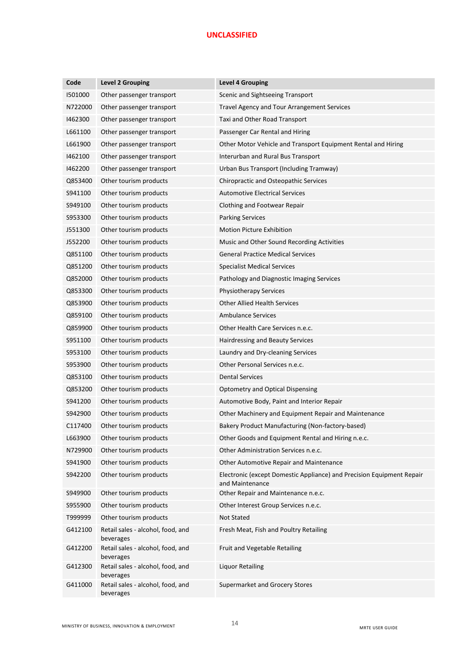| Code    | <b>Level 2 Grouping</b>                        | <b>Level 4 Grouping</b>                                                                  |
|---------|------------------------------------------------|------------------------------------------------------------------------------------------|
| 1501000 | Other passenger transport                      | Scenic and Sightseeing Transport                                                         |
| N722000 | Other passenger transport                      | Travel Agency and Tour Arrangement Services                                              |
| 1462300 | Other passenger transport                      | Taxi and Other Road Transport                                                            |
| L661100 | Other passenger transport                      | Passenger Car Rental and Hiring                                                          |
| L661900 | Other passenger transport                      | Other Motor Vehicle and Transport Equipment Rental and Hiring                            |
| 1462100 | Other passenger transport                      | Interurban and Rural Bus Transport                                                       |
| 1462200 | Other passenger transport                      | Urban Bus Transport (Including Tramway)                                                  |
| Q853400 | Other tourism products                         | Chiropractic and Osteopathic Services                                                    |
| S941100 | Other tourism products                         | <b>Automotive Electrical Services</b>                                                    |
| S949100 | Other tourism products                         | Clothing and Footwear Repair                                                             |
| S953300 | Other tourism products                         | <b>Parking Services</b>                                                                  |
| J551300 | Other tourism products                         | <b>Motion Picture Exhibition</b>                                                         |
| J552200 | Other tourism products                         | Music and Other Sound Recording Activities                                               |
| Q851100 | Other tourism products                         | <b>General Practice Medical Services</b>                                                 |
| Q851200 | Other tourism products                         | <b>Specialist Medical Services</b>                                                       |
| Q852000 | Other tourism products                         | Pathology and Diagnostic Imaging Services                                                |
| Q853300 | Other tourism products                         | <b>Physiotherapy Services</b>                                                            |
| Q853900 | Other tourism products                         | <b>Other Allied Health Services</b>                                                      |
| Q859100 | Other tourism products                         | <b>Ambulance Services</b>                                                                |
| Q859900 | Other tourism products                         | Other Health Care Services n.e.c.                                                        |
| S951100 | Other tourism products                         | Hairdressing and Beauty Services                                                         |
| S953100 | Other tourism products                         | Laundry and Dry-cleaning Services                                                        |
| S953900 | Other tourism products                         | Other Personal Services n.e.c.                                                           |
| Q853100 | Other tourism products                         | <b>Dental Services</b>                                                                   |
| Q853200 | Other tourism products                         | <b>Optometry and Optical Dispensing</b>                                                  |
| S941200 | Other tourism products                         | Automotive Body, Paint and Interior Repair                                               |
| S942900 | Other tourism products                         | Other Machinery and Equipment Repair and Maintenance                                     |
| C117400 | Other tourism products                         | Bakery Product Manufacturing (Non-factory-based)                                         |
| L663900 | Other tourism products                         | Other Goods and Equipment Rental and Hiring n.e.c.                                       |
| N729900 | Other tourism products                         | Other Administration Services n.e.c.                                                     |
| S941900 | Other tourism products                         | Other Automotive Repair and Maintenance                                                  |
| S942200 | Other tourism products                         | Electronic (except Domestic Appliance) and Precision Equipment Repair<br>and Maintenance |
| S949900 | Other tourism products                         | Other Repair and Maintenance n.e.c.                                                      |
| S955900 | Other tourism products                         | Other Interest Group Services n.e.c.                                                     |
| T999999 | Other tourism products                         | <b>Not Stated</b>                                                                        |
| G412100 | Retail sales - alcohol, food, and<br>beverages | Fresh Meat, Fish and Poultry Retailing                                                   |
| G412200 | Retail sales - alcohol, food, and<br>beverages | Fruit and Vegetable Retailing                                                            |
| G412300 | Retail sales - alcohol, food, and<br>beverages | <b>Liquor Retailing</b>                                                                  |
| G411000 | Retail sales - alcohol, food, and<br>beverages | Supermarket and Grocery Stores                                                           |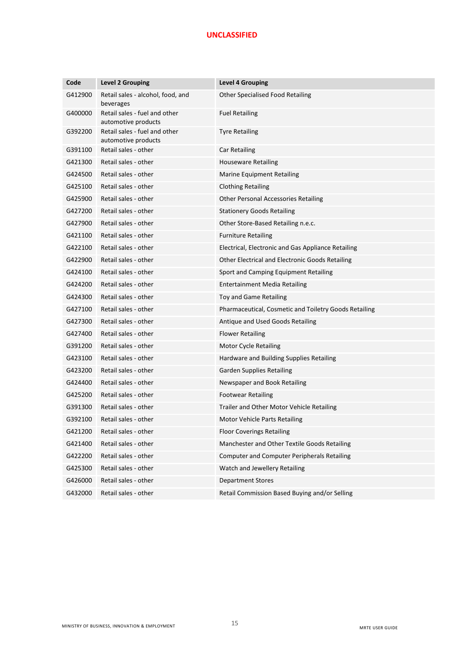| Code    | <b>Level 2 Grouping</b>                              | <b>Level 4 Grouping</b>                               |
|---------|------------------------------------------------------|-------------------------------------------------------|
| G412900 | Retail sales - alcohol, food, and<br>beverages       | Other Specialised Food Retailing                      |
| G400000 | Retail sales - fuel and other<br>automotive products | <b>Fuel Retailing</b>                                 |
| G392200 | Retail sales - fuel and other<br>automotive products | <b>Tyre Retailing</b>                                 |
| G391100 | Retail sales - other                                 | Car Retailing                                         |
| G421300 | Retail sales - other                                 | <b>Houseware Retailing</b>                            |
| G424500 | Retail sales - other                                 | <b>Marine Equipment Retailing</b>                     |
| G425100 | Retail sales - other                                 | <b>Clothing Retailing</b>                             |
| G425900 | Retail sales - other                                 | <b>Other Personal Accessories Retailing</b>           |
| G427200 | Retail sales - other                                 | <b>Stationery Goods Retailing</b>                     |
| G427900 | Retail sales - other                                 | Other Store-Based Retailing n.e.c.                    |
| G421100 | Retail sales - other                                 | <b>Furniture Retailing</b>                            |
| G422100 | Retail sales - other                                 | Electrical, Electronic and Gas Appliance Retailing    |
| G422900 | Retail sales - other                                 | Other Electrical and Electronic Goods Retailing       |
| G424100 | Retail sales - other                                 | Sport and Camping Equipment Retailing                 |
| G424200 | Retail sales - other                                 | Entertainment Media Retailing                         |
| G424300 | Retail sales - other                                 | Toy and Game Retailing                                |
| G427100 | Retail sales - other                                 | Pharmaceutical, Cosmetic and Toiletry Goods Retailing |
| G427300 | Retail sales - other                                 | Antique and Used Goods Retailing                      |
| G427400 | Retail sales - other                                 | <b>Flower Retailing</b>                               |
| G391200 | Retail sales - other                                 | Motor Cycle Retailing                                 |
| G423100 | Retail sales - other                                 | Hardware and Building Supplies Retailing              |
| G423200 | Retail sales - other                                 | <b>Garden Supplies Retailing</b>                      |
| G424400 | Retail sales - other                                 | Newspaper and Book Retailing                          |
| G425200 | Retail sales - other                                 | <b>Footwear Retailing</b>                             |
| G391300 | Retail sales - other                                 | Trailer and Other Motor Vehicle Retailing             |
| G392100 | Retail sales - other                                 | Motor Vehicle Parts Retailing                         |
| G421200 | Retail sales - other                                 | <b>Floor Coverings Retailing</b>                      |
| G421400 | Retail sales - other                                 | Manchester and Other Textile Goods Retailing          |
| G422200 | Retail sales - other                                 | <b>Computer and Computer Peripherals Retailing</b>    |
| G425300 | Retail sales - other                                 | Watch and Jewellery Retailing                         |
| G426000 | Retail sales - other                                 | <b>Department Stores</b>                              |
| G432000 | Retail sales - other                                 | Retail Commission Based Buying and/or Selling         |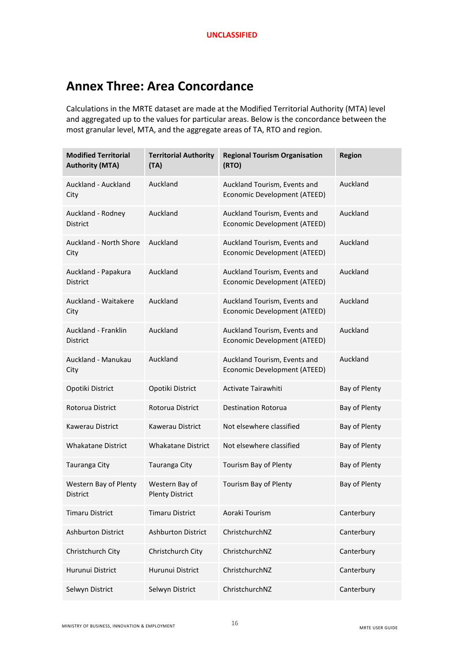# **Annex Three: Area Concordance**

Calculations in the MRTE dataset are made at the Modified Territorial Authority (MTA) level and aggregated up to the values for particular areas. Below is the concordance between the most granular level, MTA, and the aggregate areas of TA, RTO and region.

| <b>Modified Territorial</b><br><b>Authority (MTA)</b> | <b>Territorial Authority</b><br>(TA)     | <b>Regional Tourism Organisation</b><br>(RTO)                | <b>Region</b> |
|-------------------------------------------------------|------------------------------------------|--------------------------------------------------------------|---------------|
| Auckland - Auckland<br>City                           | Auckland                                 | Auckland Tourism, Events and<br>Economic Development (ATEED) | Auckland      |
| Auckland - Rodney<br><b>District</b>                  | Auckland                                 | Auckland Tourism, Events and<br>Economic Development (ATEED) | Auckland      |
| <b>Auckland - North Shore</b><br>City                 | Auckland                                 | Auckland Tourism, Events and<br>Economic Development (ATEED) | Auckland      |
| Auckland - Papakura<br><b>District</b>                | Auckland                                 | Auckland Tourism, Events and<br>Economic Development (ATEED) | Auckland      |
| Auckland - Waitakere<br>City                          | Auckland                                 | Auckland Tourism, Events and<br>Economic Development (ATEED) | Auckland      |
| Auckland - Franklin<br><b>District</b>                | Auckland                                 | Auckland Tourism, Events and<br>Economic Development (ATEED) | Auckland      |
| Auckland - Manukau<br>City                            | Auckland                                 | Auckland Tourism, Events and<br>Economic Development (ATEED) | Auckland      |
| Opotiki District                                      | Opotiki District                         | Activate Tairawhiti                                          | Bay of Plenty |
| Rotorua District                                      | Rotorua District                         | <b>Destination Rotorua</b>                                   | Bay of Plenty |
| Kawerau District                                      | Kawerau District                         | Not elsewhere classified                                     | Bay of Plenty |
| <b>Whakatane District</b>                             | <b>Whakatane District</b>                | Not elsewhere classified                                     | Bay of Plenty |
| Tauranga City                                         | Tauranga City                            | Tourism Bay of Plenty                                        | Bay of Plenty |
| Western Bay of Plenty<br><b>District</b>              | Western Bay of<br><b>Plenty District</b> | Tourism Bay of Plenty                                        | Bay of Plenty |
| <b>Timaru District</b>                                | <b>Timaru District</b>                   | Aoraki Tourism                                               | Canterbury    |
| <b>Ashburton District</b>                             | <b>Ashburton District</b>                | ChristchurchNZ                                               | Canterbury    |
| Christchurch City                                     | Christchurch City                        | ChristchurchNZ                                               | Canterbury    |
| Hurunui District                                      | Hurunui District                         | ChristchurchNZ                                               | Canterbury    |
| Selwyn District                                       | Selwyn District                          | ChristchurchNZ                                               | Canterbury    |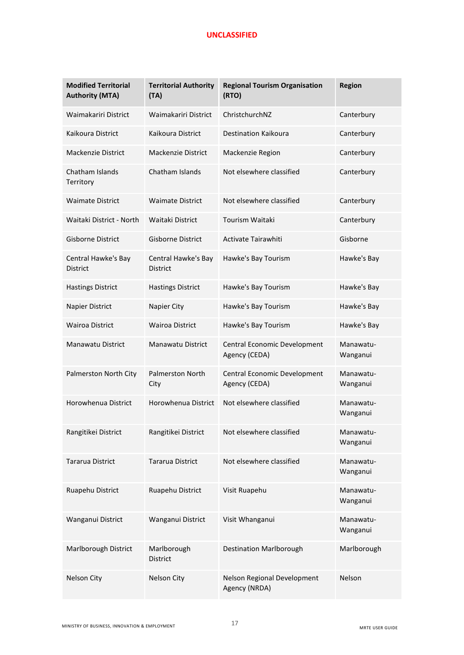| <b>Modified Territorial</b><br><b>Authority (MTA)</b> | <b>Territorial Authority</b><br>(TA)   | <b>Regional Tourism Organisation</b><br>(RTO) | <b>Region</b>         |
|-------------------------------------------------------|----------------------------------------|-----------------------------------------------|-----------------------|
| Waimakariri District                                  | Waimakariri District                   | ChristchurchNZ                                | Canterbury            |
| Kaikoura District                                     | Kaikoura District                      | <b>Destination Kaikoura</b>                   | Canterbury            |
| Mackenzie District                                    | <b>Mackenzie District</b>              | Mackenzie Region                              | Canterbury            |
| Chatham Islands<br>Territory                          | Chatham Islands                        | Not elsewhere classified                      | Canterbury            |
| <b>Waimate District</b>                               | <b>Waimate District</b>                | Not elsewhere classified                      | Canterbury            |
| Waitaki District - North                              | Waitaki District                       | <b>Tourism Waitaki</b>                        | Canterbury            |
| <b>Gisborne District</b>                              | <b>Gisborne District</b>               | Activate Tairawhiti                           | Gisborne              |
| Central Hawke's Bay<br><b>District</b>                | Central Hawke's Bay<br><b>District</b> | Hawke's Bay Tourism                           | Hawke's Bay           |
| <b>Hastings District</b>                              | <b>Hastings District</b>               | Hawke's Bay Tourism                           | Hawke's Bay           |
| Napier District                                       | Napier City                            | Hawke's Bay Tourism                           | Hawke's Bay           |
| <b>Wairoa District</b>                                | <b>Wairoa District</b>                 | Hawke's Bay Tourism                           | Hawke's Bay           |
| Manawatu District                                     | <b>Manawatu District</b>               | Central Economic Development<br>Agency (CEDA) | Manawatu-<br>Wanganui |
| Palmerston North City                                 | <b>Palmerston North</b><br>City        | Central Economic Development<br>Agency (CEDA) | Manawatu-<br>Wanganui |
| Horowhenua District                                   | Horowhenua District                    | Not elsewhere classified                      | Manawatu-<br>Wanganui |
| Rangitikei District                                   | Rangitikei District                    | Not elsewhere classified                      | Manawatu-<br>Wanganui |
| Tararua District                                      | Tararua District                       | Not elsewhere classified                      | Manawatu-<br>Wanganui |
| Ruapehu District                                      | Ruapehu District                       | Visit Ruapehu                                 | Manawatu-<br>Wanganui |
| Wanganui District                                     | Wanganui District                      | Visit Whanganui                               | Manawatu-<br>Wanganui |
| Marlborough District                                  | Marlborough<br><b>District</b>         | <b>Destination Marlborough</b>                | Marlborough           |
| Nelson City                                           | Nelson City                            | Nelson Regional Development<br>Agency (NRDA)  | Nelson                |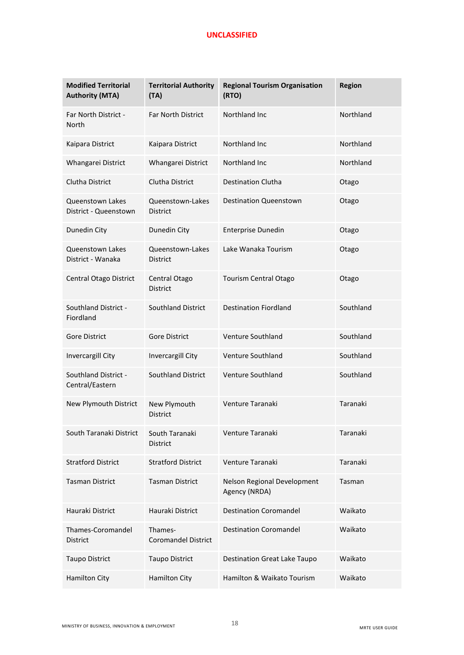| <b>Modified Territorial</b><br><b>Authority (MTA)</b> | <b>Territorial Authority</b><br>(TA)  | <b>Regional Tourism Organisation</b><br>(RTO) | <b>Region</b> |
|-------------------------------------------------------|---------------------------------------|-----------------------------------------------|---------------|
| Far North District -<br><b>North</b>                  | <b>Far North District</b>             | Northland Inc                                 | Northland     |
| Kaipara District                                      | Kaipara District                      | Northland Inc.                                | Northland     |
| Whangarei District                                    | Whangarei District                    | Northland Inc                                 | Northland     |
| <b>Clutha District</b>                                | Clutha District                       | <b>Destination Clutha</b>                     | Otago         |
| <b>Queenstown Lakes</b><br>District - Queenstown      | Queenstown-Lakes<br><b>District</b>   | <b>Destination Queenstown</b>                 | Otago         |
| Dunedin City                                          | Dunedin City                          | <b>Enterprise Dunedin</b>                     | Otago         |
| <b>Queenstown Lakes</b><br>District - Wanaka          | Queenstown-Lakes<br><b>District</b>   | Lake Wanaka Tourism                           | Otago         |
| <b>Central Otago District</b>                         | Central Otago<br><b>District</b>      | Tourism Central Otago                         | Otago         |
| Southland District -<br>Fiordland                     | Southland District                    | <b>Destination Fiordland</b>                  | Southland     |
| <b>Gore District</b>                                  | <b>Gore District</b>                  | Venture Southland                             | Southland     |
| Invercargill City                                     | Invercargill City                     | <b>Venture Southland</b>                      | Southland     |
| Southland District -<br>Central/Eastern               | Southland District                    | Venture Southland                             | Southland     |
| New Plymouth District                                 | New Plymouth<br><b>District</b>       | Venture Taranaki                              | Taranaki      |
| South Taranaki District                               | South Taranaki<br>District            | Venture Taranaki                              | Taranaki      |
| <b>Stratford District</b>                             | <b>Stratford District</b>             | Venture Taranaki                              | Taranaki      |
| <b>Tasman District</b>                                | <b>Tasman District</b>                | Nelson Regional Development<br>Agency (NRDA)  | Tasman        |
| Hauraki District                                      | Hauraki District                      | <b>Destination Coromandel</b>                 | Waikato       |
| Thames-Coromandel<br><b>District</b>                  | Thames-<br><b>Coromandel District</b> | <b>Destination Coromandel</b>                 | Waikato       |
| <b>Taupo District</b>                                 | <b>Taupo District</b>                 | <b>Destination Great Lake Taupo</b>           | Waikato       |
| <b>Hamilton City</b>                                  | <b>Hamilton City</b>                  | Hamilton & Waikato Tourism                    | Waikato       |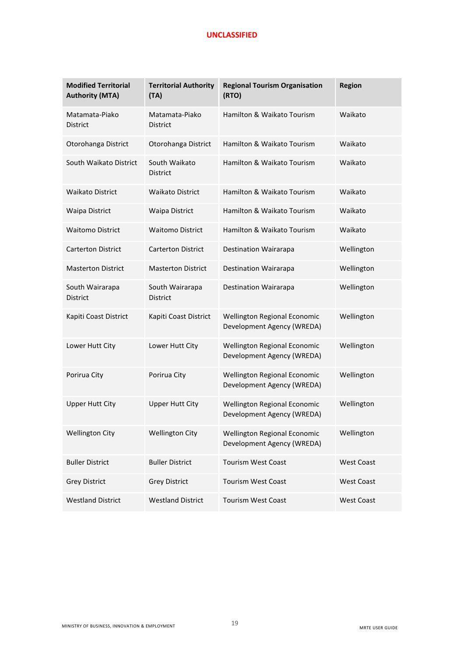| <b>Modified Territorial</b><br><b>Authority (MTA)</b> | <b>Territorial Authority</b><br>(TA) | <b>Regional Tourism Organisation</b><br>(RTO)              | <b>Region</b>     |
|-------------------------------------------------------|--------------------------------------|------------------------------------------------------------|-------------------|
| Matamata-Piako<br><b>District</b>                     | Matamata-Piako<br><b>District</b>    | Hamilton & Waikato Tourism                                 | Waikato           |
| Otorohanga District                                   | Otorohanga District                  | Hamilton & Waikato Tourism                                 | Waikato           |
| South Waikato District                                | South Waikato<br><b>District</b>     | Hamilton & Waikato Tourism                                 | Waikato           |
| <b>Waikato District</b>                               | <b>Waikato District</b>              | Hamilton & Waikato Tourism                                 | Waikato           |
| Waipa District                                        | <b>Waipa District</b>                | Hamilton & Waikato Tourism                                 | Waikato           |
| <b>Waitomo District</b>                               | <b>Waitomo District</b>              | Hamilton & Waikato Tourism                                 | Waikato           |
| <b>Carterton District</b>                             | <b>Carterton District</b>            | Destination Wairarapa                                      | Wellington        |
| <b>Masterton District</b>                             | <b>Masterton District</b>            | Destination Wairarapa                                      | Wellington        |
| South Wairarapa<br><b>District</b>                    | South Wairarapa<br><b>District</b>   | Destination Wairarapa                                      | Wellington        |
| Kapiti Coast District                                 | Kapiti Coast District                | Wellington Regional Economic<br>Development Agency (WREDA) | Wellington        |
| Lower Hutt City                                       | Lower Hutt City                      | Wellington Regional Economic<br>Development Agency (WREDA) | Wellington        |
| Porirua City                                          | Porirua City                         | Wellington Regional Economic<br>Development Agency (WREDA) | Wellington        |
| <b>Upper Hutt City</b>                                | <b>Upper Hutt City</b>               | Wellington Regional Economic<br>Development Agency (WREDA) | Wellington        |
| <b>Wellington City</b>                                | <b>Wellington City</b>               | Wellington Regional Economic<br>Development Agency (WREDA) | Wellington        |
| <b>Buller District</b>                                | <b>Buller District</b>               | <b>Tourism West Coast</b>                                  | <b>West Coast</b> |
| <b>Grey District</b>                                  | <b>Grey District</b>                 | <b>Tourism West Coast</b>                                  | <b>West Coast</b> |
| <b>Westland District</b>                              | <b>Westland District</b>             | <b>Tourism West Coast</b>                                  | <b>West Coast</b> |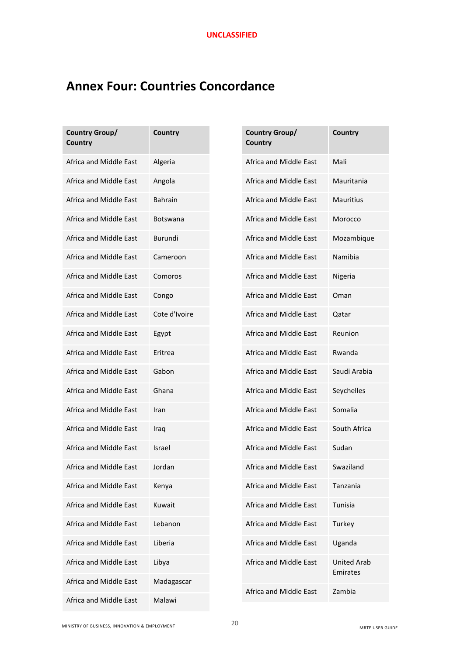# **Annex Four: Countries Concordance**

| Country Group/<br>Country | Country         | Country Group/<br>Country | Country                        |
|---------------------------|-----------------|---------------------------|--------------------------------|
| Africa and Middle East    | Algeria         | Africa and Middle East    | Mali                           |
| Africa and Middle East    | Angola          | Africa and Middle East    | Mauritania                     |
| Africa and Middle East    | <b>Bahrain</b>  | Africa and Middle East    | Mauritius                      |
| Africa and Middle East    | <b>Botswana</b> | Africa and Middle East    | Morocco                        |
| Africa and Middle East    | Burundi         | Africa and Middle East    | Mozambique                     |
| Africa and Middle East    | Cameroon        | Africa and Middle East    | Namibia                        |
| Africa and Middle East    | Comoros         | Africa and Middle East    | Nigeria                        |
| Africa and Middle East    | Congo           | Africa and Middle East    | Oman                           |
| Africa and Middle East    | Cote d'Ivoire   | Africa and Middle East    | Qatar                          |
| Africa and Middle East    | Egypt           | Africa and Middle East    | Reunion                        |
| Africa and Middle East    | Eritrea         | Africa and Middle East    | Rwanda                         |
| Africa and Middle East    | Gabon           | Africa and Middle East    | Saudi Arabia                   |
| Africa and Middle East    | Ghana           | Africa and Middle East    | Seychelles                     |
| Africa and Middle East    | Iran            | Africa and Middle East    | Somalia                        |
| Africa and Middle East    | Iraq            | Africa and Middle East    | South Africa                   |
| Africa and Middle East    | Israel          | Africa and Middle East    | Sudan                          |
| Africa and Middle East    | Jordan          | Africa and Middle East    | Swaziland                      |
| Africa and Middle East    | Kenya           | Africa and Middle East    | Tanzania                       |
| Africa and Middle East    | Kuwait          | Africa and Middle East    | Tunisia                        |
| Africa and Middle East    | Lebanon         | Africa and Middle East    | Turkey                         |
| Africa and Middle East    | Liberia         | Africa and Middle East    | Uganda                         |
| Africa and Middle East    | Libya           | Africa and Middle East    | <b>United Arab</b><br>Emirates |
| Africa and Middle East    | Madagascar      | Africa and Middle East    | Zambia                         |
| Africa and Middle East    | Malawi          |                           |                                |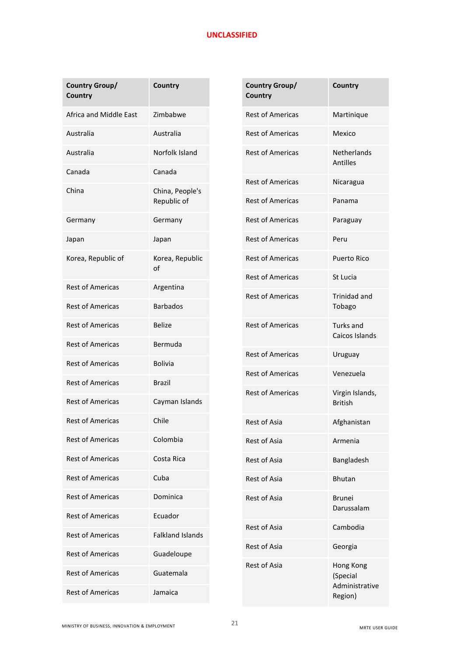| <b>Country Group/</b><br>Country | <b>Country</b>                 |                         | <b>Country Group/</b><br>Country | Country                           |
|----------------------------------|--------------------------------|-------------------------|----------------------------------|-----------------------------------|
| Africa and Middle East           | Zimbabwe                       |                         | <b>Rest of Americas</b>          | Martinique                        |
| Australia                        | Australia                      |                         | <b>Rest of Americas</b>          | Mexico                            |
| Australia                        | Norfolk Island                 |                         | <b>Rest of Americas</b>          | <b>Netherlands</b><br>Antilles    |
| Canada                           | Canada                         |                         | <b>Rest of Americas</b>          | Nicaragua                         |
| China                            | China, People's<br>Republic of |                         | <b>Rest of Americas</b>          | Panama                            |
| Germany                          | Germany                        |                         | <b>Rest of Americas</b>          | Paraguay                          |
| Japan                            | Japan                          |                         | <b>Rest of Americas</b>          | Peru                              |
| Korea, Republic of               | Korea, Republic<br>οf          |                         | <b>Rest of Americas</b>          | <b>Puerto Rico</b>                |
| <b>Rest of Americas</b>          | Argentina                      |                         | <b>Rest of Americas</b>          | St Lucia                          |
| <b>Rest of Americas</b>          | <b>Barbados</b>                |                         | <b>Rest of Americas</b>          | Trinidad and<br>Tobago            |
| <b>Rest of Americas</b>          | <b>Belize</b>                  | <b>Rest of Americas</b> | Turks and<br>Caicos Islands      |                                   |
| <b>Rest of Americas</b>          | Bermuda                        |                         |                                  |                                   |
| <b>Rest of Americas</b>          | <b>Bolivia</b>                 |                         | <b>Rest of Americas</b>          | Uruguay                           |
| <b>Rest of Americas</b>          | <b>Brazil</b>                  |                         | <b>Rest of Americas</b>          | Venezuela                         |
| <b>Rest of Americas</b>          | Cayman Islands                 |                         | <b>Rest of Americas</b>          | Virgin Islands,<br><b>British</b> |
| <b>Rest of Americas</b>          | Chile                          |                         | Rest of Asia                     | Afghanistan                       |
| <b>Rest of Americas</b>          | Colombia                       |                         | Rest of Asia                     | Armenia                           |
| <b>Rest of Americas</b>          | Costa Rica                     |                         | Rest of Asia                     | Bangladesh                        |
| <b>Rest of Americas</b>          | Cuba                           |                         | Rest of Asia                     | <b>Bhutan</b>                     |
| <b>Rest of Americas</b>          | Dominica                       |                         | Rest of Asia                     | <b>Brunei</b>                     |
| <b>Rest of Americas</b>          | Ecuador                        |                         |                                  | Darussalam                        |
| <b>Rest of Americas</b>          | <b>Falkland Islands</b>        |                         | <b>Rest of Asia</b>              | Cambodia                          |
| <b>Rest of Americas</b>          | Guadeloupe                     |                         | Rest of Asia                     | Georgia                           |
| <b>Rest of Americas</b>          | Guatemala                      |                         | <b>Rest of Asia</b>              | Hong Kong<br>(Special             |
| <b>Rest of Americas</b>          | Jamaica                        |                         | Administrative<br>Region)        |                                   |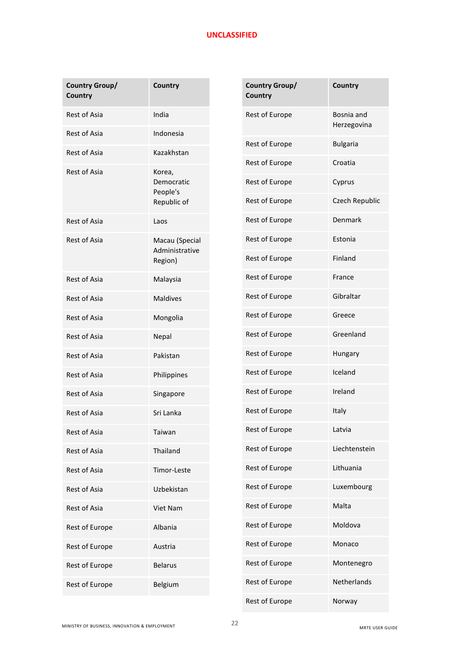| Country Group/<br>Country | Country                          | Country Group/<br>Country | Country                   |
|---------------------------|----------------------------------|---------------------------|---------------------------|
| Rest of Asia              | India                            | Rest of Europe            | Bosnia and<br>Herzegovina |
| <b>Rest of Asia</b>       | Indonesia                        |                           |                           |
| <b>Rest of Asia</b>       | Kazakhstan                       | Rest of Europe            | <b>Bulgaria</b>           |
| <b>Rest of Asia</b>       | Korea,<br>Democratic<br>People's | Rest of Europe            | Croatia                   |
|                           |                                  | Rest of Europe            | Cyprus                    |
|                           | Republic of                      | Rest of Europe            | Czech Republic            |
| <b>Rest of Asia</b>       | Laos                             | Rest of Europe            | Denmark                   |
| Rest of Asia              | Macau (Special<br>Administrative | Rest of Europe            | Estonia                   |
|                           | Region)                          | Rest of Europe            | Finland                   |
| <b>Rest of Asia</b>       | Malaysia                         | Rest of Europe            | France                    |
| <b>Rest of Asia</b>       | <b>Maldives</b>                  | Rest of Europe            | Gibraltar                 |
| <b>Rest of Asia</b>       | Mongolia                         | Rest of Europe            | Greece                    |
| Rest of Asia              | Nepal                            | Rest of Europe            | Greenland                 |
| Rest of Asia              | Pakistan                         | Rest of Europe            | Hungary                   |
| <b>Rest of Asia</b>       | Philippines                      | Rest of Europe            | Iceland                   |
| Rest of Asia              | Singapore                        | Rest of Europe            | Ireland                   |
| <b>Rest of Asia</b>       | Sri Lanka                        | Rest of Europe            | Italy                     |
| Rest of Asia              | Taiwan                           | Rest of Europe            | Latvia                    |
| Rest of Asia              | Thailand                         | Rest of Europe            | Liechtenstein             |
| Rest of Asia              | Timor-Leste                      | Rest of Europe            | Lithuania                 |
| Rest of Asia              | Uzbekistan                       | Rest of Europe            | Luxembourg                |
| Rest of Asia              | Viet Nam                         | Rest of Europe            | Malta                     |
| Rest of Europe            | Albania                          | Rest of Europe            | Moldova                   |
| Rest of Europe            | Austria                          | Rest of Europe            | Monaco                    |
| Rest of Europe            | <b>Belarus</b>                   | Rest of Europe            | Montenegro                |
| Rest of Europe            | Belgium                          | Rest of Europe            | Netherlands               |
|                           |                                  | Rest of Europe            | Norway                    |